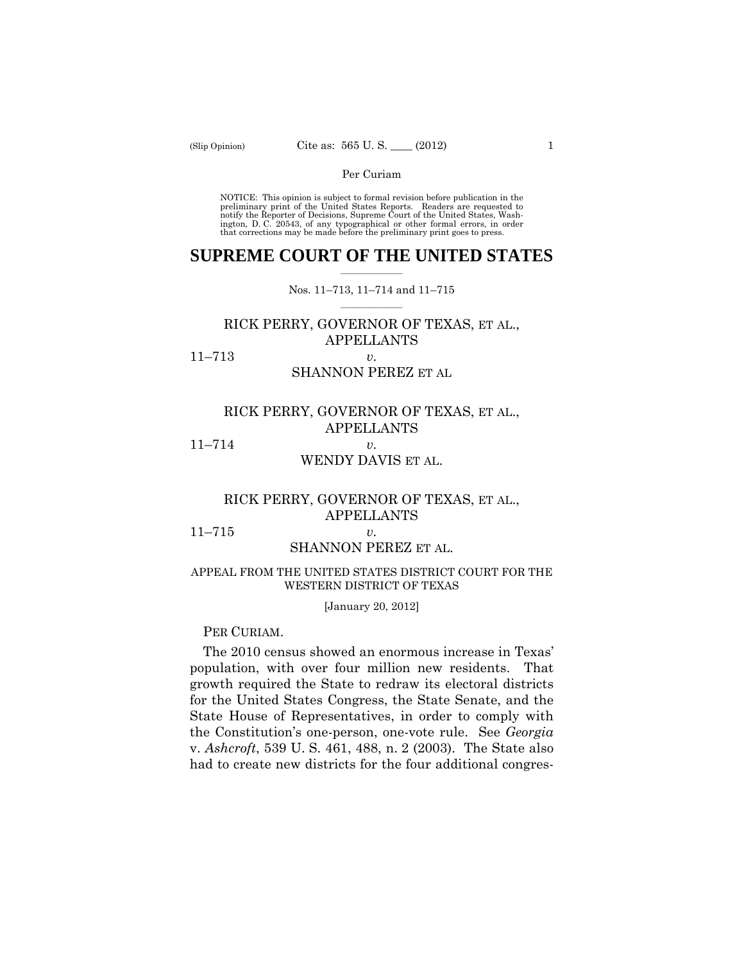preliminary print of the United States Reports. Readers are requested to notify the Reporter of Decisions, Supreme Court of the United States, Wash- ington, D. C. 20543, of any typographical or other formal errors, in order that corrections may be made before the preliminary print goes to press. NOTICE: This opinion is subject to formal revision before publication in the

#### $\frac{1}{2}$  ,  $\frac{1}{2}$  ,  $\frac{1}{2}$  ,  $\frac{1}{2}$  ,  $\frac{1}{2}$  ,  $\frac{1}{2}$  ,  $\frac{1}{2}$ **SUPREME COURT OF THE UNITED STATES**

 $\frac{1}{2}$  ,  $\frac{1}{2}$  ,  $\frac{1}{2}$  ,  $\frac{1}{2}$  ,  $\frac{1}{2}$  ,  $\frac{1}{2}$ Nos. 11–713, 11–714 and 11–715

# RICK PERRY, GOVERNOR OF TEXAS, ET AL., APPELLANTS

11–713 *v.* 

# SHANNON PEREZ ET AL

# RICK PERRY, GOVERNOR OF TEXAS, ET AL., APPELLANTS 11–714 *v.*

# WENDY DAVIS ET AL.

# RICK PERRY, GOVERNOR OF TEXAS, ET AL., APPELLANTS

11–715 *v.* 

# SHANNON PEREZ ET AL.

#### APPEAL FROM THE UNITED STATES DISTRICT COURT FOR THE WESTERN DISTRICT OF TEXAS

#### [January 20, 2012]

#### PER CURIAM.

The 2010 census showed an enormous increase in Texas' population, with over four million new residents. That growth required the State to redraw its electoral districts for the United States Congress, the State Senate, and the State House of Representatives, in order to comply with the Constitution's one-person, one-vote rule. See *Georgia*  v. *Ashcroft*, 539 U. S. 461, 488, n. 2 (2003). The State also had to create new districts for the four additional congres-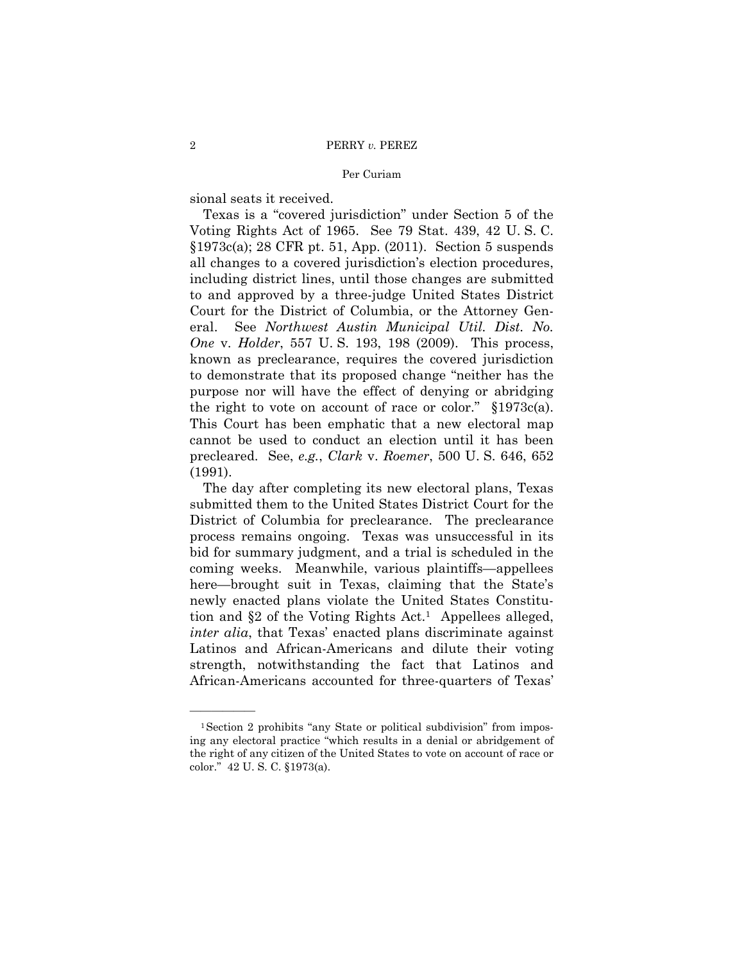sional seats it received.

——————

 known as preclearance, requires the covered jurisdiction Texas is a "covered jurisdiction" under Section 5 of the Voting Rights Act of 1965. See 79 Stat. 439, 42 U. S. C. §1973c(a); 28 CFR pt. 51, App. (2011). Section 5 suspends all changes to a covered jurisdiction's election procedures, including district lines, until those changes are submitted to and approved by a three-judge United States District Court for the District of Columbia, or the Attorney General. See *Northwest Austin Municipal Util. Dist. No. One* v. *Holder*, 557 U. S. 193, 198 (2009). This process, to demonstrate that its proposed change "neither has the purpose nor will have the effect of denying or abridging the right to vote on account of race or color." §1973c(a). This Court has been emphatic that a new electoral map cannot be used to conduct an election until it has been precleared. See, *e.g.*, *Clark* v. *Roemer*, 500 U. S. 646, 652 (1991).

The day after completing its new electoral plans, Texas submitted them to the United States District Court for the District of Columbia for preclearance. The preclearance process remains ongoing. Texas was unsuccessful in its bid for summary judgment, and a trial is scheduled in the coming weeks. Meanwhile, various plaintiffs—appellees here—brought suit in Texas, claiming that the State's newly enacted plans violate the United States Constitution and  $\S 2$  of the Voting Rights Act.<sup>1</sup> Appellees alleged, *inter alia*, that Texas' enacted plans discriminate against Latinos and African-Americans and dilute their voting strength, notwithstanding the fact that Latinos and African-Americans accounted for three-quarters of Texas'

<sup>&</sup>lt;sup>1</sup>Section 2 prohibits "any State or political subdivision" from imposing any electoral practice "which results in a denial or abridgement of the right of any citizen of the United States to vote on account of race or color." 42 U. S. C. §1973(a).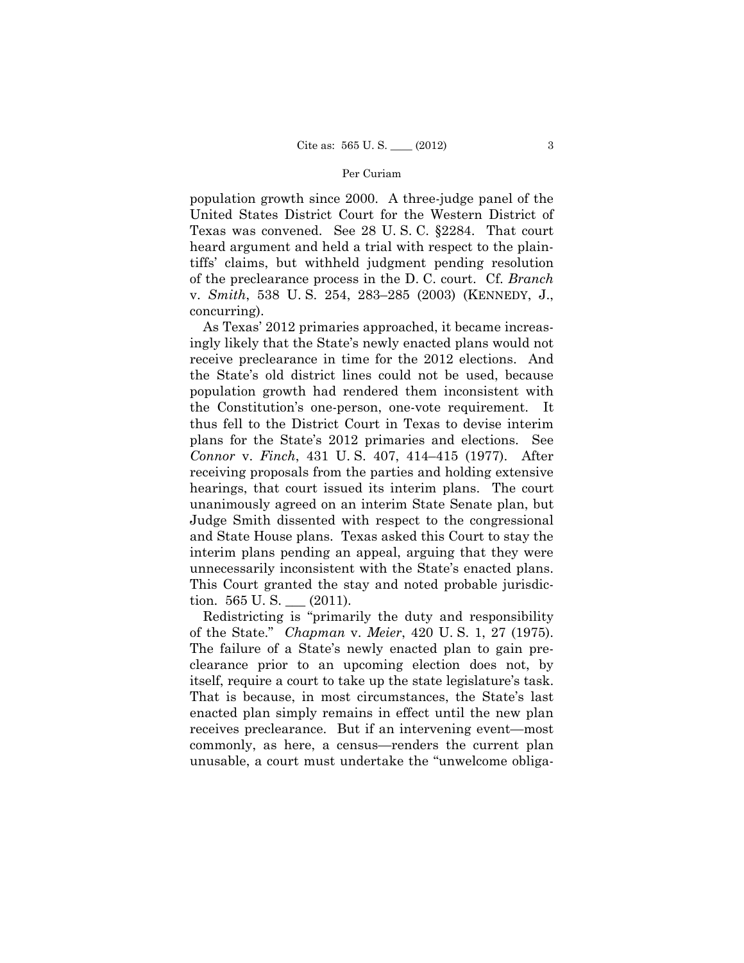population growth since 2000. A three-judge panel of the United States District Court for the Western District of Texas was convened. See 28 U. S. C. §2284. That court heard argument and held a trial with respect to the plaintiffs' claims, but withheld judgment pending resolution of the preclearance process in the D. C. court. Cf. *Branch*  v. *Smith*, 538 U. S. 254, 283–285 (2003) (KENNEDY, J., concurring).

As Texas' 2012 primaries approached, it became increasingly likely that the State's newly enacted plans would not receive preclearance in time for the 2012 elections. And the State's old district lines could not be used, because population growth had rendered them inconsistent with the Constitution's one-person, one-vote requirement. It thus fell to the District Court in Texas to devise interim plans for the State's 2012 primaries and elections. See *Connor* v. *Finch*, 431 U. S. 407, 414–415 (1977). After receiving proposals from the parties and holding extensive hearings, that court issued its interim plans. The court unanimously agreed on an interim State Senate plan, but Judge Smith dissented with respect to the congressional and State House plans. Texas asked this Court to stay the interim plans pending an appeal, arguing that they were unnecessarily inconsistent with the State's enacted plans. This Court granted the stay and noted probable jurisdiction.  $565 \text{ U.S.}$  (2011).

 clearance prior to an upcoming election does not, by itself, require a court to take up the state legislature's task. That is because, in most circumstances, the State's last Redistricting is "primarily the duty and responsibility of the State." *Chapman* v. *Meier*, 420 U. S. 1, 27 (1975). The failure of a State's newly enacted plan to gain preenacted plan simply remains in effect until the new plan receives preclearance. But if an intervening event—most commonly, as here, a census—renders the current plan unusable, a court must undertake the "unwelcome obliga-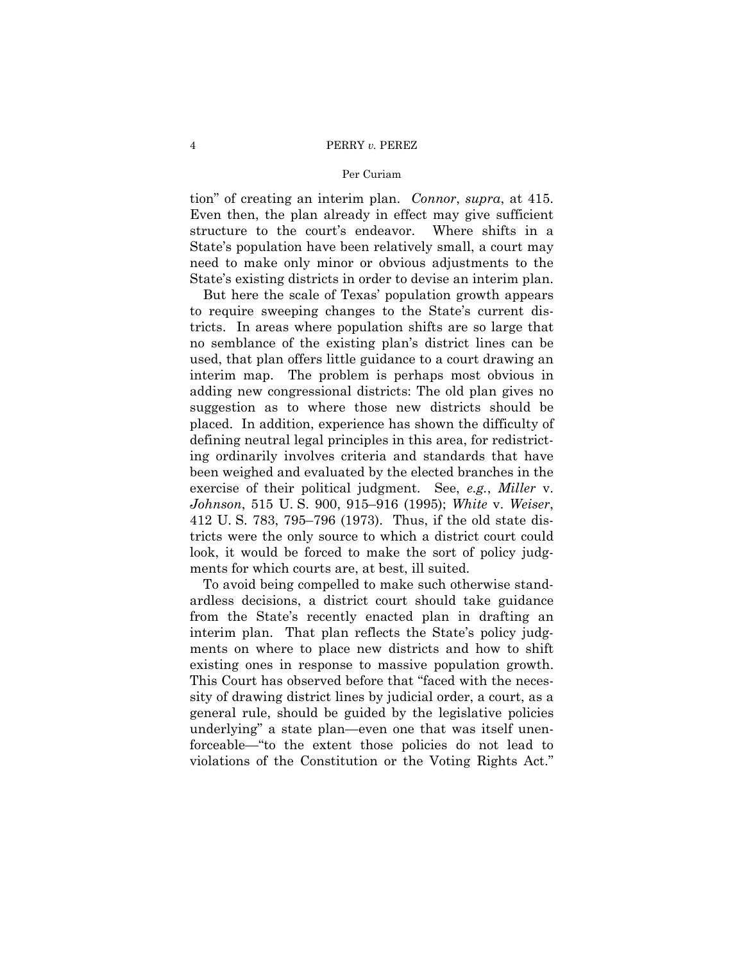tion" of creating an interim plan. *Connor*, *supra*, at 415. Even then, the plan already in effect may give sufficient structure to the court's endeavor. Where shifts in a State's population have been relatively small, a court may need to make only minor or obvious adjustments to the State's existing districts in order to devise an interim plan.

But here the scale of Texas' population growth appears to require sweeping changes to the State's current districts. In areas where population shifts are so large that no semblance of the existing plan's district lines can be used, that plan offers little guidance to a court drawing an interim map. The problem is perhaps most obvious in adding new congressional districts: The old plan gives no suggestion as to where those new districts should be placed. In addition, experience has shown the difficulty of defining neutral legal principles in this area, for redistricting ordinarily involves criteria and standards that have been weighed and evaluated by the elected branches in the exercise of their political judgment. See, *e.g.*, *Miller* v. *Johnson*, 515 U. S. 900, 915–916 (1995); *White* v. *Weiser*, 412 U. S. 783, 795–796 (1973). Thus, if the old state districts were the only source to which a district court could look, it would be forced to make the sort of policy judgments for which courts are, at best, ill suited.

To avoid being compelled to make such otherwise standardless decisions, a district court should take guidance from the State's recently enacted plan in drafting an interim plan. That plan reflects the State's policy judgments on where to place new districts and how to shift existing ones in response to massive population growth. This Court has observed before that "faced with the necessity of drawing district lines by judicial order, a court, as a general rule, should be guided by the legislative policies underlying" a state plan—even one that was itself unenforceable—"to the extent those policies do not lead to violations of the Constitution or the Voting Rights Act."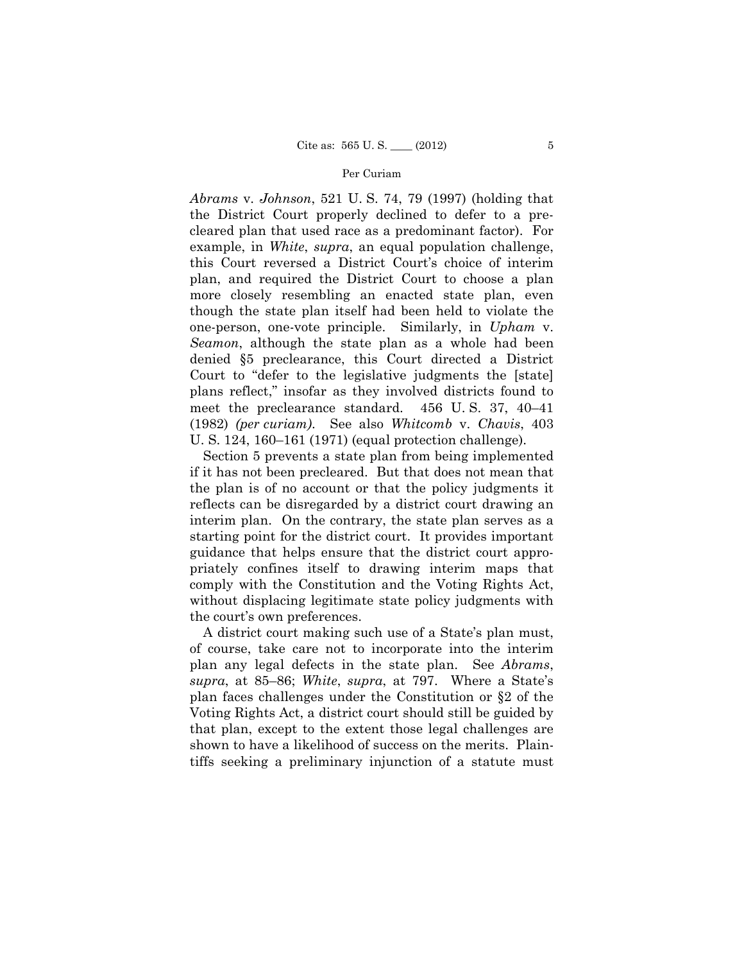*Abrams* v. *Johnson*, 521 U. S. 74, 79 (1997) (holding that the District Court properly declined to defer to a precleared plan that used race as a predominant factor). For example, in *White*, *supra*, an equal population challenge, this Court reversed a District Court's choice of interim plan, and required the District Court to choose a plan more closely resembling an enacted state plan, even though the state plan itself had been held to violate the one-person, one-vote principle. Similarly, in *Upham* v. *Seamon*, although the state plan as a whole had been denied §5 preclearance, this Court directed a District Court to "defer to the legislative judgments the [state] plans reflect," insofar as they involved districts found to meet the preclearance standard. 456 U. S. 37, 40–41 (1982) *(per curiam)*. See also *Whitcomb* v. *Chavis*, 403 U. S. 124, 160–161 (1971) (equal protection challenge).

Section 5 prevents a state plan from being implemented if it has not been precleared. But that does not mean that the plan is of no account or that the policy judgments it reflects can be disregarded by a district court drawing an interim plan. On the contrary, the state plan serves as a starting point for the district court. It provides important guidance that helps ensure that the district court appropriately confines itself to drawing interim maps that comply with the Constitution and the Voting Rights Act, without displacing legitimate state policy judgments with the court's own preferences.

A district court making such use of a State's plan must, of course, take care not to incorporate into the interim plan any legal defects in the state plan. See *Abrams*, *supra*, at 85–86; *White*, *supra*, at 797. Where a State's plan faces challenges under the Constitution or §2 of the Voting Rights Act, a district court should still be guided by that plan, except to the extent those legal challenges are shown to have a likelihood of success on the merits. Plaintiffs seeking a preliminary injunction of a statute must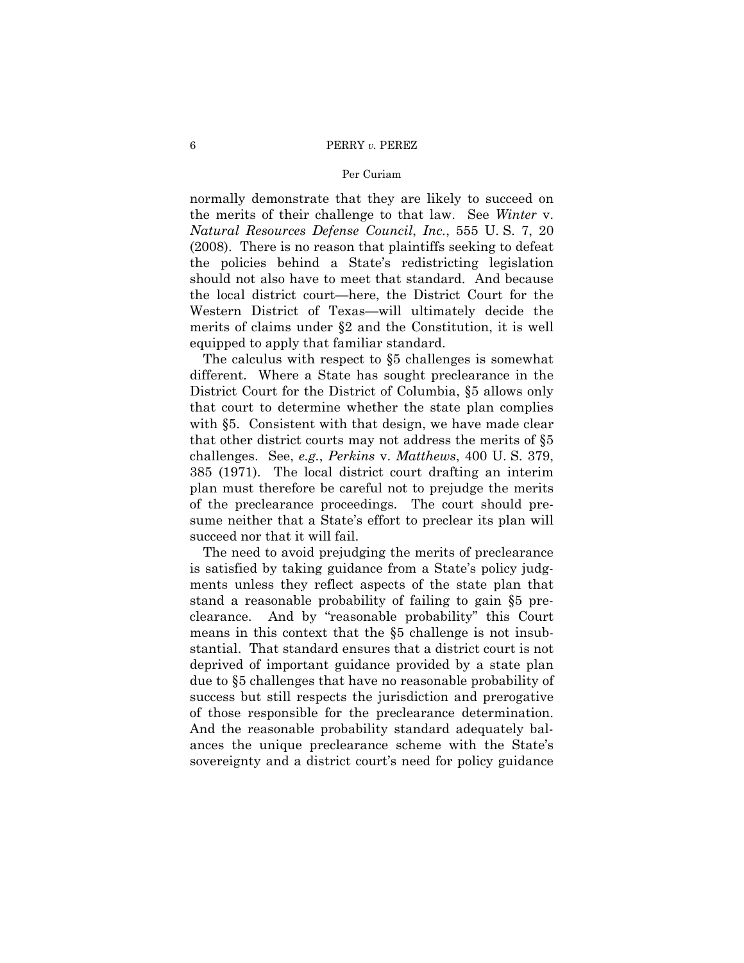normally demonstrate that they are likely to succeed on the merits of their challenge to that law. See *Winter* v. *Natural Resources Defense Council*, *Inc.*, 555 U. S. 7, 20 (2008). There is no reason that plaintiffs seeking to defeat the policies behind a State's redistricting legislation should not also have to meet that standard. And because the local district court—here, the District Court for the Western District of Texas—will ultimately decide the merits of claims under §2 and the Constitution, it is well equipped to apply that familiar standard.

The calculus with respect to §5 challenges is somewhat different. Where a State has sought preclearance in the District Court for the District of Columbia, §5 allows only that court to determine whether the state plan complies with §5. Consistent with that design, we have made clear that other district courts may not address the merits of §5 challenges. See, *e.g.*, *Perkins* v. *Matthews*, 400 U. S. 379, 385 (1971). The local district court drafting an interim plan must therefore be careful not to prejudge the merits of the preclearance proceedings. The court should presume neither that a State's effort to preclear its plan will succeed nor that it will fail.

The need to avoid prejudging the merits of preclearance is satisfied by taking guidance from a State's policy judgments unless they reflect aspects of the state plan that stand a reasonable probability of failing to gain §5 preclearance. And by "reasonable probability" this Court means in this context that the §5 challenge is not insubstantial. That standard ensures that a district court is not deprived of important guidance provided by a state plan due to §5 challenges that have no reasonable probability of success but still respects the jurisdiction and prerogative of those responsible for the preclearance determination. And the reasonable probability standard adequately balances the unique preclearance scheme with the State's sovereignty and a district court's need for policy guidance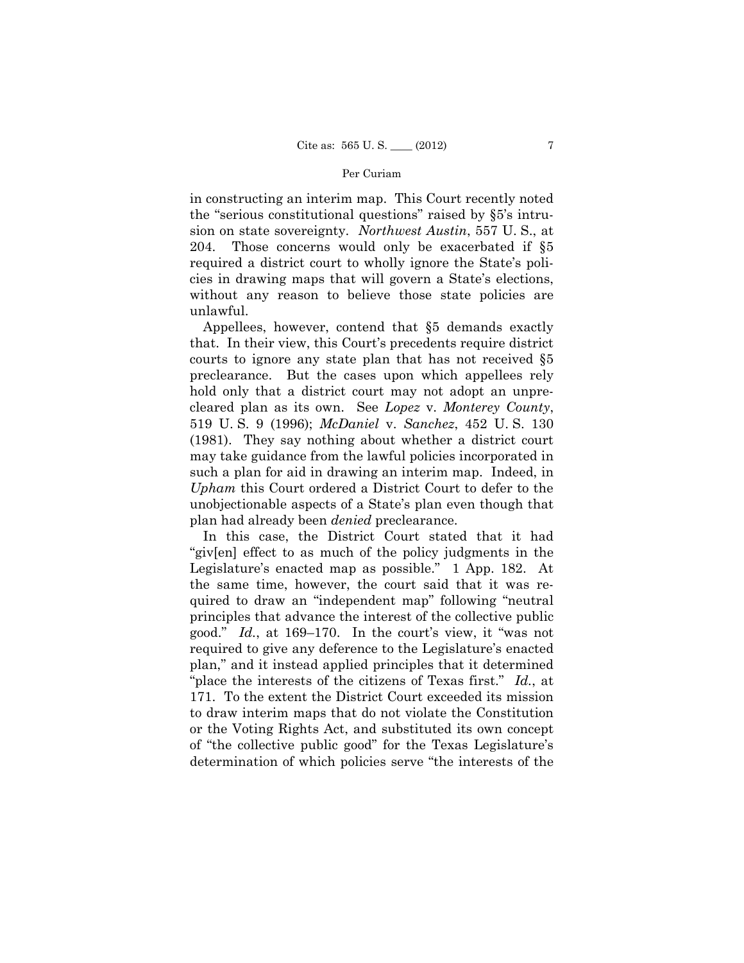in constructing an interim map. This Court recently noted the "serious constitutional questions" raised by §5's intrusion on state sovereignty. *Northwest Austin*, 557 U. S., at 204. Those concerns would only be exacerbated if §5 required a district court to wholly ignore the State's policies in drawing maps that will govern a State's elections, without any reason to believe those state policies are unlawful.

Appellees, however, contend that §5 demands exactly that. In their view, this Court's precedents require district courts to ignore any state plan that has not received §5 preclearance. But the cases upon which appellees rely hold only that a district court may not adopt an unprecleared plan as its own. See *Lopez* v. *Monterey County*, 519 U. S. 9 (1996); *McDaniel* v. *Sanchez*, 452 U. S. 130 (1981). They say nothing about whether a district court may take guidance from the lawful policies incorporated in such a plan for aid in drawing an interim map. Indeed, in *Upham* this Court ordered a District Court to defer to the unobjectionable aspects of a State's plan even though that plan had already been *denied* preclearance.

In this case, the District Court stated that it had "giv[en] effect to as much of the policy judgments in the Legislature's enacted map as possible." 1 App. 182. At the same time, however, the court said that it was required to draw an "independent map" following "neutral principles that advance the interest of the collective public good." *Id.*, at 169–170. In the court's view, it "was not required to give any deference to the Legislature's enacted plan," and it instead applied principles that it determined "place the interests of the citizens of Texas first." *Id.*, at 171. To the extent the District Court exceeded its mission to draw interim maps that do not violate the Constitution or the Voting Rights Act, and substituted its own concept of "the collective public good" for the Texas Legislature's determination of which policies serve "the interests of the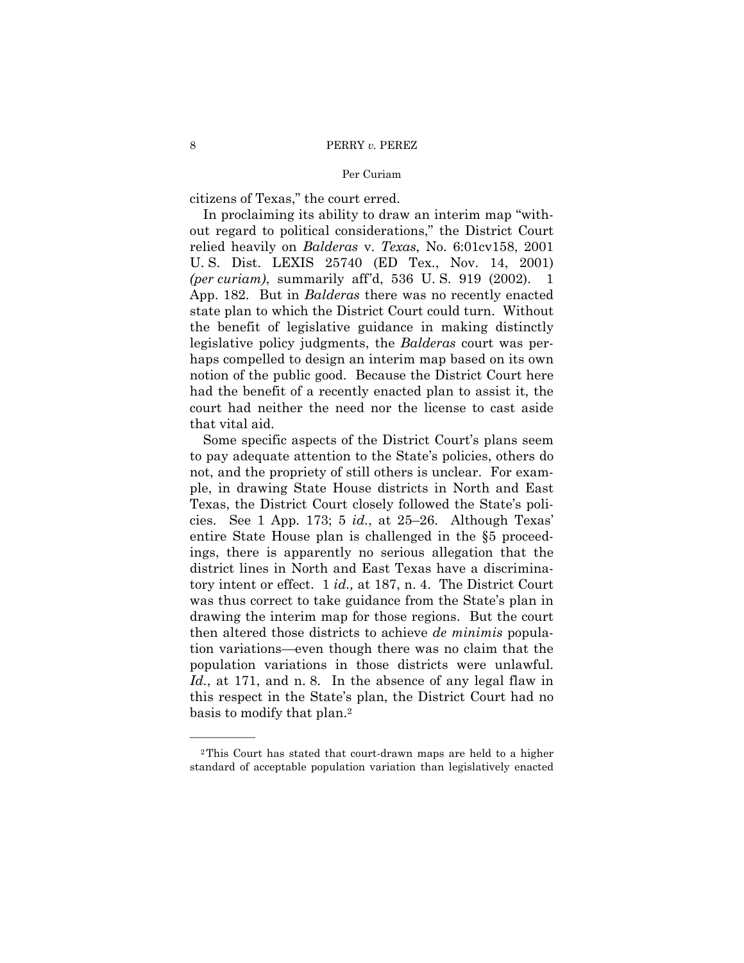citizens of Texas," the court erred.

In proclaiming its ability to draw an interim map "without regard to political considerations," the District Court relied heavily on *Balderas* v. *Texas*, No. 6:01cv158, 2001 U. S. Dist. LEXIS 25740 (ED Tex., Nov. 14, 2001) *(per curiam)*, summarily aff'd, 536 U. S. 919 (2002). 1 App. 182. But in *Balderas* there was no recently enacted state plan to which the District Court could turn. Without the benefit of legislative guidance in making distinctly legislative policy judgments, the *Balderas* court was perhaps compelled to design an interim map based on its own notion of the public good. Because the District Court here had the benefit of a recently enacted plan to assist it, the court had neither the need nor the license to cast aside that vital aid.

 tory intent or effect. 1 *id.,* at 187, n. 4. The District Court Some specific aspects of the District Court's plans seem to pay adequate attention to the State's policies, others do not, and the propriety of still others is unclear. For example, in drawing State House districts in North and East Texas, the District Court closely followed the State's policies. See 1 App. 173; 5 *id.*, at 25–26. Although Texas' entire State House plan is challenged in the §5 proceedings, there is apparently no serious allegation that the district lines in North and East Texas have a discriminawas thus correct to take guidance from the State's plan in drawing the interim map for those regions. But the court then altered those districts to achieve *de minimis* population variations—even though there was no claim that the population variations in those districts were unlawful. *Id.*, at 171, and n. 8. In the absence of any legal flaw in this respect in the State's plan, the District Court had no basis to modify that plan.2

——————

<sup>2</sup>This Court has stated that court-drawn maps are held to a higher standard of acceptable population variation than legislatively enacted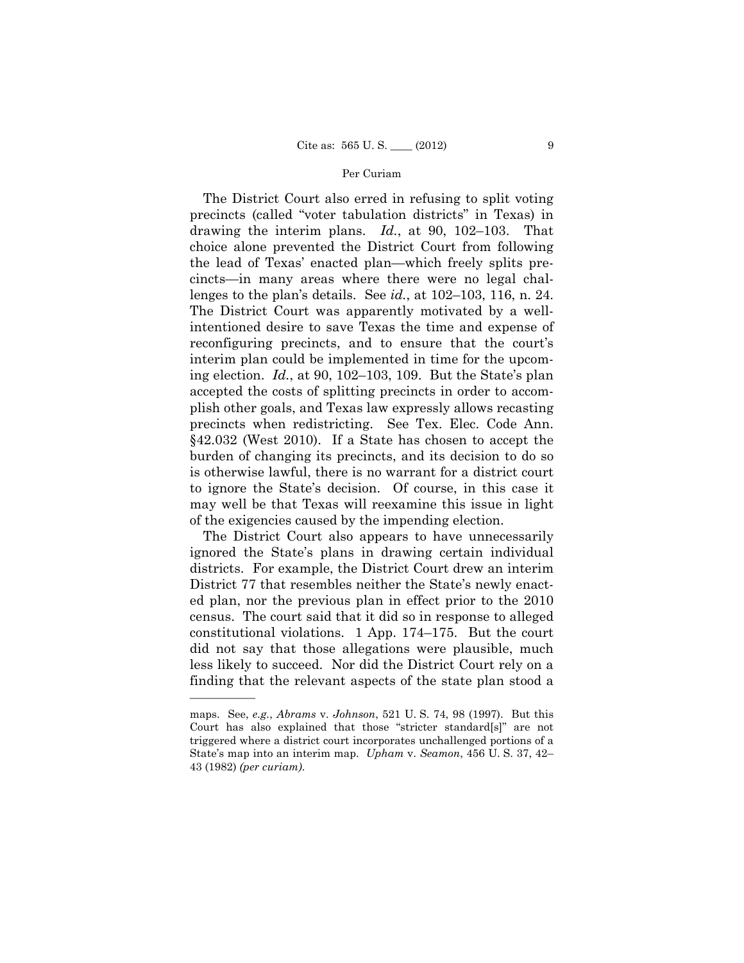lenges to the plan's details. See *id.*, at 102–103, 116, n. 24. The District Court was apparently motivated by a well-The District Court also erred in refusing to split voting precincts (called "voter tabulation districts" in Texas) in drawing the interim plans. *Id.*, at 90, 102–103. That choice alone prevented the District Court from following the lead of Texas' enacted plan—which freely splits precincts—in many areas where there were no legal chalintentioned desire to save Texas the time and expense of reconfiguring precincts, and to ensure that the court's interim plan could be implemented in time for the upcoming election. *Id.*, at 90, 102–103, 109. But the State's plan accepted the costs of splitting precincts in order to accomplish other goals, and Texas law expressly allows recasting precincts when redistricting. See Tex. Elec. Code Ann. §42.032 (West 2010). If a State has chosen to accept the burden of changing its precincts, and its decision to do so is otherwise lawful, there is no warrant for a district court to ignore the State's decision. Of course, in this case it may well be that Texas will reexamine this issue in light of the exigencies caused by the impending election.

 finding that the relevant aspects of the state plan stood a The District Court also appears to have unnecessarily ignored the State's plans in drawing certain individual districts. For example, the District Court drew an interim District 77 that resembles neither the State's newly enacted plan, nor the previous plan in effect prior to the 2010 census. The court said that it did so in response to alleged constitutional violations. 1 App. 174–175. But the court did not say that those allegations were plausible, much less likely to succeed. Nor did the District Court rely on a

——————

maps. See, *e.g.*, *Abrams* v. *Johnson*, 521 U. S. 74, 98 (1997). But this Court has also explained that those "stricter standard[s]" are not triggered where a district court incorporates unchallenged portions of a State's map into an interim map. *Upham* v. *Seamon*, 456 U. S. 37, 42– 43 (1982) *(per curiam)*.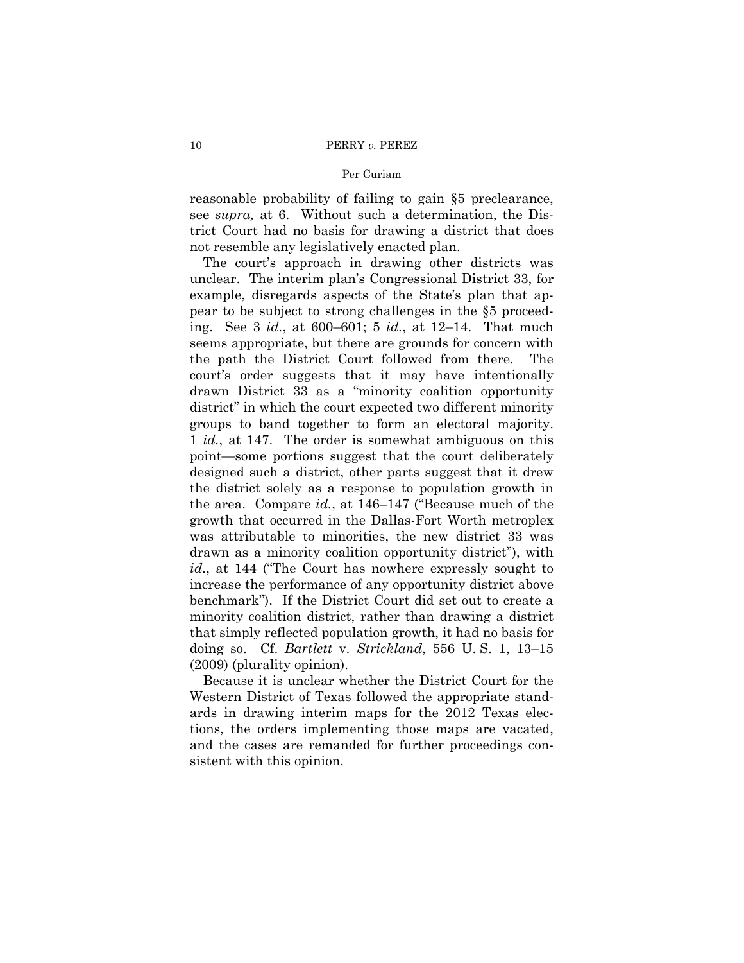reasonable probability of failing to gain §5 preclearance, see *supra,* at 6. Without such a determination, the District Court had no basis for drawing a district that does not resemble any legislatively enacted plan.

 groups to band together to form an electoral majority. The court's approach in drawing other districts was unclear. The interim plan's Congressional District 33, for example, disregards aspects of the State's plan that appear to be subject to strong challenges in the §5 proceeding. See 3 *id.*, at 600–601; 5 *id.*, at 12–14. That much seems appropriate, but there are grounds for concern with the path the District Court followed from there. The court's order suggests that it may have intentionally drawn District 33 as a "minority coalition opportunity district" in which the court expected two different minority 1 *id.*, at 147. The order is somewhat ambiguous on this point—some portions suggest that the court deliberately designed such a district, other parts suggest that it drew the district solely as a response to population growth in the area. Compare *id.*, at 146–147 ("Because much of the growth that occurred in the Dallas-Fort Worth metroplex was attributable to minorities, the new district 33 was drawn as a minority coalition opportunity district"), with *id.*, at 144 ("The Court has nowhere expressly sought to increase the performance of any opportunity district above benchmark"). If the District Court did set out to create a minority coalition district, rather than drawing a district that simply reflected population growth, it had no basis for doing so. Cf. *Bartlett* v. *Strickland*, 556 U. S. 1, 13–15 (2009) (plurality opinion).

Because it is unclear whether the District Court for the Western District of Texas followed the appropriate standards in drawing interim maps for the 2012 Texas elections, the orders implementing those maps are vacated, and the cases are remanded for further proceedings consistent with this opinion.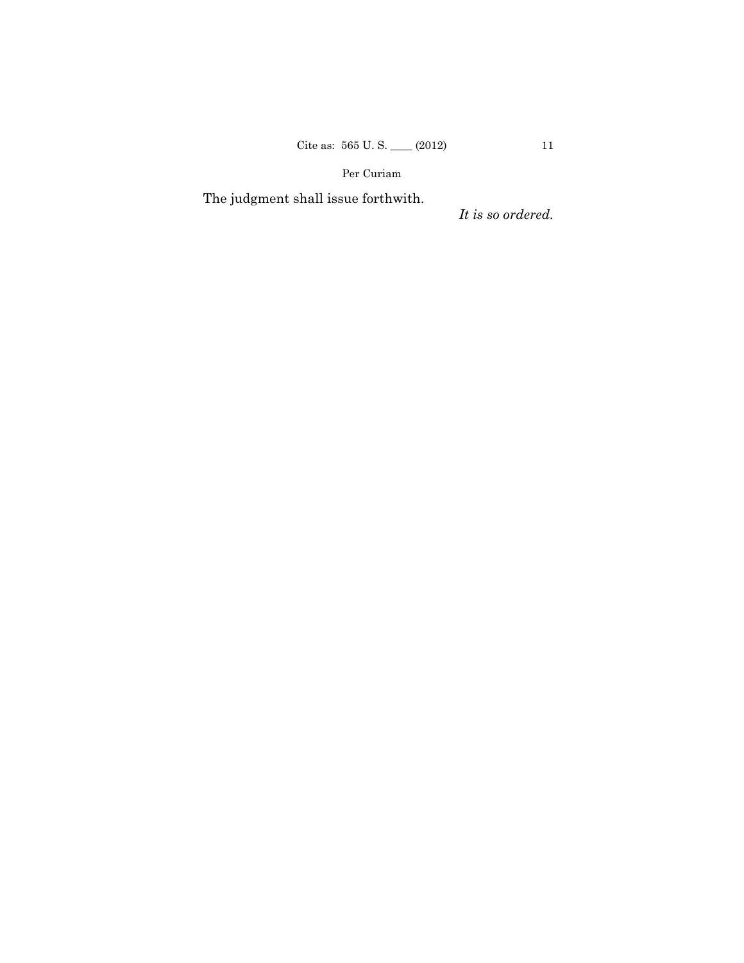The judgment shall issue forthwith.

*It is so ordered.*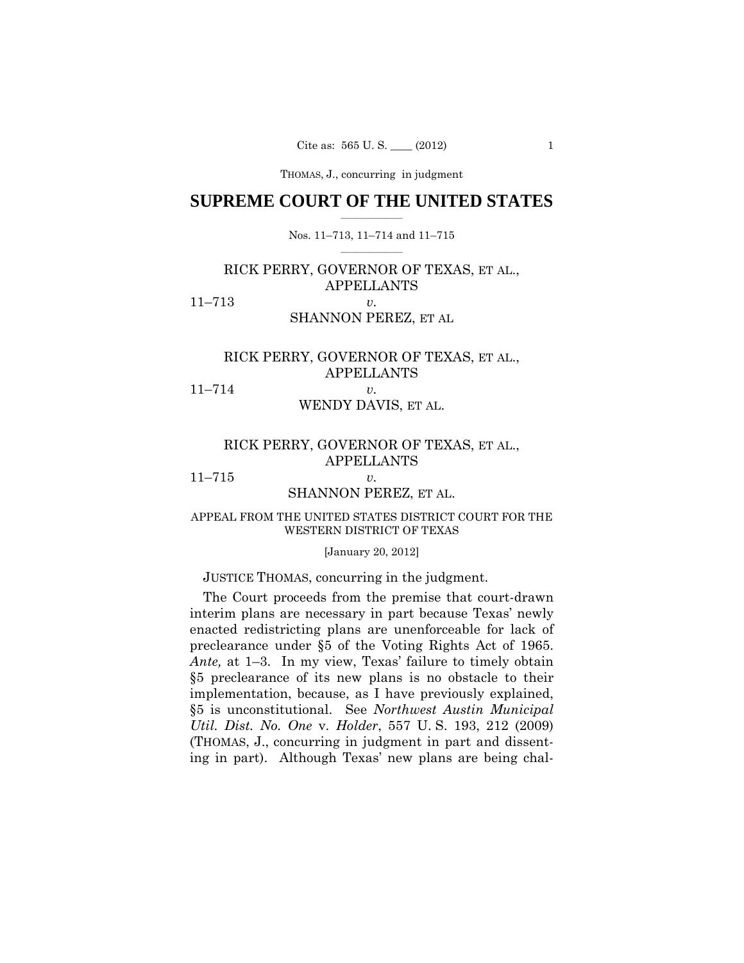THOMAS, J., concurring in judgment

#### $\frac{1}{2}$  ,  $\frac{1}{2}$  ,  $\frac{1}{2}$  ,  $\frac{1}{2}$  ,  $\frac{1}{2}$  ,  $\frac{1}{2}$  ,  $\frac{1}{2}$ **SUPREME COURT OF THE UNITED STATES**

#### $\frac{1}{2}$  ,  $\frac{1}{2}$  ,  $\frac{1}{2}$  ,  $\frac{1}{2}$  ,  $\frac{1}{2}$  ,  $\frac{1}{2}$ Nos. 11–713, 11–714 and 11–715

# RICK PERRY, GOVERNOR OF TEXAS, ET AL., APPELLANTS 11–713 *v.*

### SHANNON PEREZ, ET AL

# RICK PERRY, GOVERNOR OF TEXAS, ET AL., APPELLANTS

# 11–714 *v.*

# WENDY DAVIS, ET AL.

# RICK PERRY, GOVERNOR OF TEXAS, ET AL., APPELLANTS

11–715 *v.* 

#### SHANNON PEREZ, ET AL.

#### APPEAL FROM THE UNITED STATES DISTRICT COURT FOR THE WESTERN DISTRICT OF TEXAS

[January 20, 2012]

# JUSTICE THOMAS, concurring in the judgment.

 preclearance under §5 of the Voting Rights Act of 1965. (THOMAS, J., concurring in judgment in part and dissent-The Court proceeds from the premise that court-drawn interim plans are necessary in part because Texas' newly enacted redistricting plans are unenforceable for lack of *Ante,* at 1–3. In my view, Texas' failure to timely obtain §5 preclearance of its new plans is no obstacle to their implementation, because, as I have previously explained, §5 is unconstitutional. See *Northwest Austin Municipal Util. Dist. No. One* v. *Holder*, 557 U. S. 193, 212 (2009) ing in part). Although Texas' new plans are being chal-